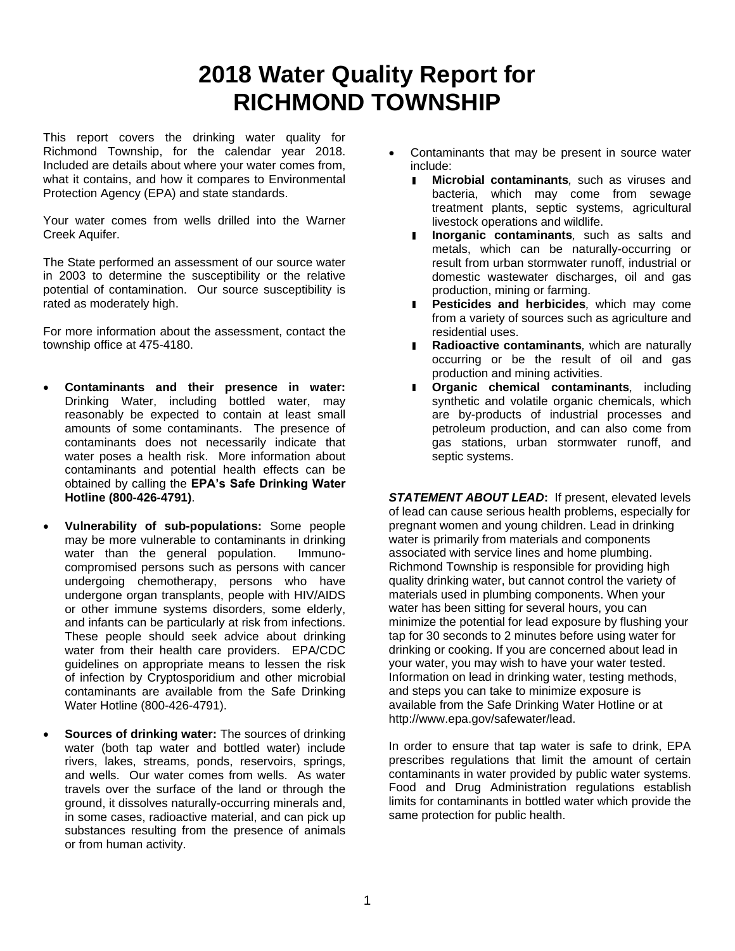## **2018 Water Quality Report for RICHMOND TOWNSHIP**

This report covers the drinking water quality for Richmond Township, for the calendar year 2018. Included are details about where your water comes from, what it contains, and how it compares to Environmental Protection Agency (EPA) and state standards.

Your water comes from wells drilled into the Warner Creek Aquifer.

The State performed an assessment of our source water in 2003 to determine the susceptibility or the relative potential of contamination. Our source susceptibility is rated as moderately high.

For more information about the assessment, contact the township office at 475-4180.

- **Contaminants and their presence in water:**  Drinking Water, including bottled water, may reasonably be expected to contain at least small amounts of some contaminants. The presence of contaminants does not necessarily indicate that water poses a health risk. More information about contaminants and potential health effects can be obtained by calling the **EPA's Safe Drinking Water Hotline (800-426-4791)**.
- **Vulnerability of sub-populations:** Some people may be more vulnerable to contaminants in drinking water than the general population. Immunocompromised persons such as persons with cancer undergoing chemotherapy, persons who have undergone organ transplants, people with HIV/AIDS or other immune systems disorders, some elderly, and infants can be particularly at risk from infections. These people should seek advice about drinking water from their health care providers. EPA/CDC guidelines on appropriate means to lessen the risk of infection by Cryptosporidium and other microbial contaminants are available from the Safe Drinking Water Hotline (800-426-4791).
- **Sources of drinking water:** The sources of drinking water (both tap water and bottled water) include rivers, lakes, streams, ponds, reservoirs, springs, and wells. Our water comes from wells. As water travels over the surface of the land or through the ground, it dissolves naturally-occurring minerals and, in some cases, radioactive material, and can pick up substances resulting from the presence of animals or from human activity.
- Contaminants that may be present in source water include:
	- $\blacksquare$ **Microbial contaminants***,* such as viruses and bacteria, which may come from sewage treatment plants, septic systems, agricultural livestock operations and wildlife.
	- **Inorganic contaminants***,* such as salts and  $\blacksquare$ metals, which can be naturally-occurring or result from urban stormwater runoff, industrial or domestic wastewater discharges, oil and gas production, mining or farming.
	- **Pesticides and herbicides***,* which may come from a variety of sources such as agriculture and residential uses.
	- **Radioactive contaminants***,* which are naturally occurring or be the result of oil and gas production and mining activities.
	- **Organic chemical contaminants***,* including synthetic and volatile organic chemicals, which are by-products of industrial processes and petroleum production, and can also come from gas stations, urban stormwater runoff, and septic systems.

*STATEMENT ABOUT LEAD***:** If present, elevated levels of lead can cause serious health problems, especially for pregnant women and young children. Lead in drinking water is primarily from materials and components associated with service lines and home plumbing. Richmond Township is responsible for providing high quality drinking water, but cannot control the variety of materials used in plumbing components. When your water has been sitting for several hours, you can minimize the potential for lead exposure by flushing your tap for 30 seconds to 2 minutes before using water for drinking or cooking. If you are concerned about lead in your water, you may wish to have your water tested. Information on lead in drinking water, testing methods, and steps you can take to minimize exposure is available from the Safe Drinking Water Hotline or at http://www.epa.gov/safewater/lead.

In order to ensure that tap water is safe to drink, EPA prescribes regulations that limit the amount of certain contaminants in water provided by public water systems. Food and Drug Administration regulations establish limits for contaminants in bottled water which provide the same protection for public health.